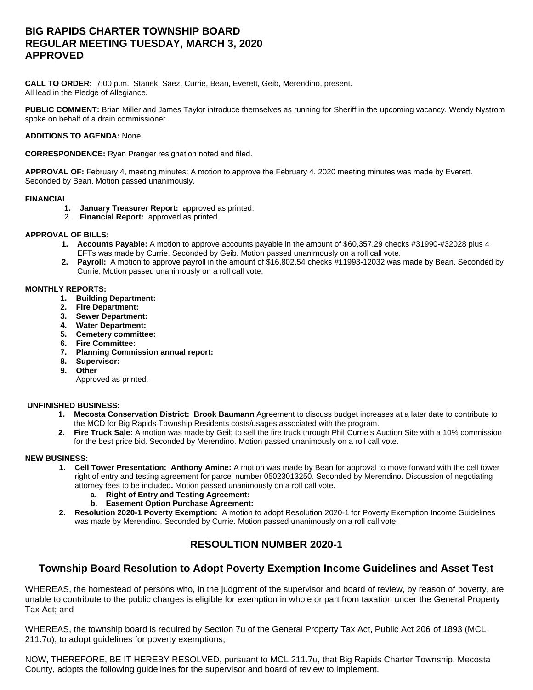# **BIG RAPIDS CHARTER TOWNSHIP BOARD REGULAR MEETING TUESDAY, MARCH 3, 2020 APPROVED**

**CALL TO ORDER:** 7:00 p.m. Stanek, Saez, Currie, Bean, Everett, Geib, Merendino, present. All lead in the Pledge of Allegiance.

**PUBLIC COMMENT:** Brian Miller and James Taylor introduce themselves as running for Sheriff in the upcoming vacancy. Wendy Nystrom spoke on behalf of a drain commissioner.

### **ADDITIONS TO AGENDA:** None.

**CORRESPONDENCE:** Ryan Pranger resignation noted and filed.

**APPROVAL OF:** February 4, meeting minutes: A motion to approve the February 4, 2020 meeting minutes was made by Everett. Seconded by Bean. Motion passed unanimously.

#### **FINANCIAL**

- **1. January Treasurer Report:** approved as printed.
- 2. **Financial Report:** approved as printed.

### **APPROVAL OF BILLS:**

- **1. Accounts Payable:** A motion to approve accounts payable in the amount of \$60,357.29 checks #31990-#32028 plus 4 EFTs was made by Currie. Seconded by Geib. Motion passed unanimously on a roll call vote.
- **2. Payroll:** A motion to approve payroll in the amount of \$16,802.54 checks #11993-12032 was made by Bean. Seconded by Currie. Motion passed unanimously on a roll call vote.

### **MONTHLY REPORTS:**

- **1. Building Department:**
- **2. Fire Department:**
- **3. Sewer Department:**
- **4. Water Department:**
- **5. Cemetery committee:**
- **6. Fire Committee:**
- **7. Planning Commission annual report:**
- **8. Supervisor:**
- **9. Other**

Approved as printed.

## **UNFINISHED BUSINESS:**

- **1. Mecosta Conservation District: Brook Baumann** Agreement to discuss budget increases at a later date to contribute to the MCD for Big Rapids Township Residents costs/usages associated with the program.
- **2. Fire Truck Sale:** A motion was made by Geib to sell the fire truck through Phil Currie's Auction Site with a 10% commission for the best price bid. Seconded by Merendino. Motion passed unanimously on a roll call vote.

#### **NEW BUSINESS:**

- **1. Cell Tower Presentation: Anthony Amine:** A motion was made by Bean for approval to move forward with the cell tower right of entry and testing agreement for parcel number 05023013250. Seconded by Merendino. Discussion of negotiating attorney fees to be included**.** Motion passed unanimously on a roll call vote.
	- **a. Right of Entry and Testing Agreement:**
	- **b. Easement Option Purchase Agreement:**
- **2. Resolution 2020-1 Poverty Exemption:** A motion to adopt Resolution 2020-1 for Poverty Exemption Income Guidelines was made by Merendino. Seconded by Currie. Motion passed unanimously on a roll call vote.

# **RESOULTION NUMBER 2020-1**

## **Township Board Resolution to Adopt Poverty Exemption Income Guidelines and Asset Test**

WHEREAS, the homestead of persons who, in the judgment of the supervisor and board of review, by reason of poverty, are unable to contribute to the public charges is eligible for exemption in whole or part from taxation under the General Property Tax Act; and

WHEREAS, the township board is required by Section 7u of the General Property Tax Act, Public Act 206 of 1893 (MCL 211.7u), to adopt guidelines for poverty exemptions;

NOW, THEREFORE, BE IT HEREBY RESOLVED, pursuant to MCL 211.7u, that Big Rapids Charter Township, Mecosta County, adopts the following guidelines for the supervisor and board of review to implement.